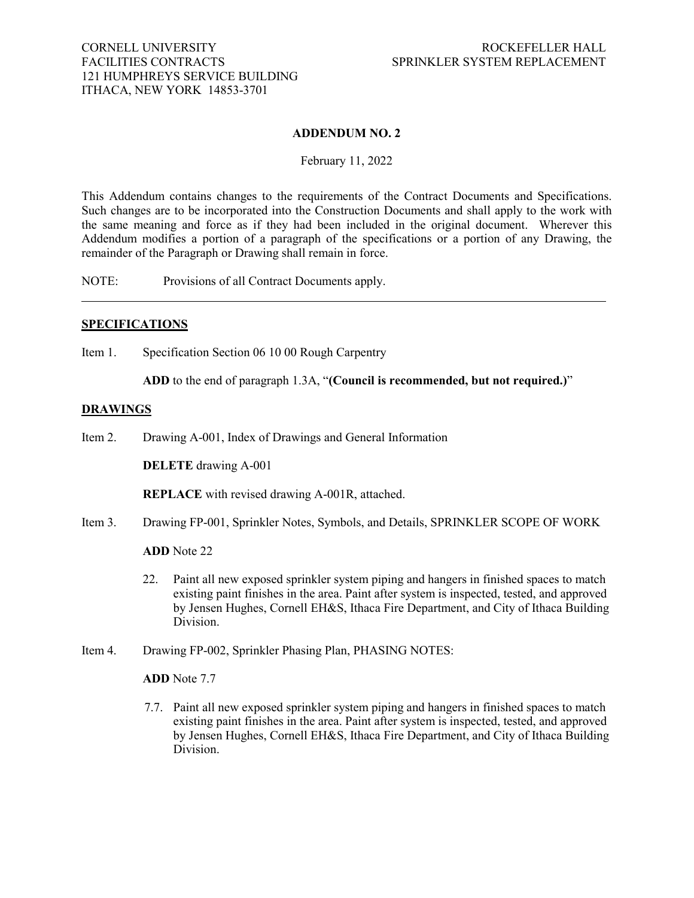## **ADDENDUM NO. 2**

February 11, 2022

This Addendum contains changes to the requirements of the Contract Documents and Specifications. Such changes are to be incorporated into the Construction Documents and shall apply to the work with the same meaning and force as if they had been included in the original document. Wherever this Addendum modifies a portion of a paragraph of the specifications or a portion of any Drawing, the remainder of the Paragraph or Drawing shall remain in force.

NOTE: Provisions of all Contract Documents apply.

### **SPECIFICATIONS**

Item 1. Specification Section 06 10 00 Rough Carpentry

**ADD** to the end of paragraph 1.3A, "**(Council is recommended, but not required.)**"

#### **DRAWINGS**

Item 2. Drawing A-001, Index of Drawings and General Information

**DELETE** drawing A-001

**REPLACE** with revised drawing A-001R, attached.

Item 3. Drawing FP-001, Sprinkler Notes, Symbols, and Details, SPRINKLER SCOPE OF WORK

#### **ADD** Note 22

- 22. Paint all new exposed sprinkler system piping and hangers in finished spaces to match existing paint finishes in the area. Paint after system is inspected, tested, and approved by Jensen Hughes, Cornell EH&S, Ithaca Fire Department, and City of Ithaca Building Division.
- Item 4. Drawing FP-002, Sprinkler Phasing Plan, PHASING NOTES:

**ADD** Note 7.7

7.7. Paint all new exposed sprinkler system piping and hangers in finished spaces to match existing paint finishes in the area. Paint after system is inspected, tested, and approved by Jensen Hughes, Cornell EH&S, Ithaca Fire Department, and City of Ithaca Building Division.